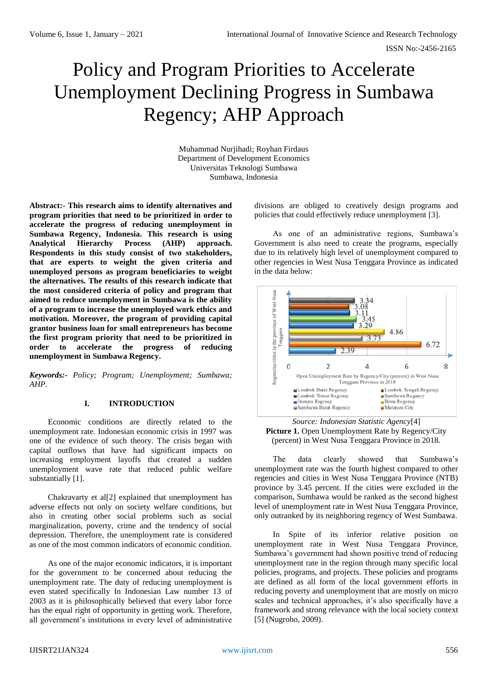# Policy and Program Priorities to Accelerate Unemployment Declining Progress in Sumbawa Regency; AHP Approach

Muhammad Nurjihadi; Royhan Firdaus Department of Development Economics Universitas Teknologi Sumbawa Sumbawa, Indonesia

**Abstract:- This research aims to identify alternatives and program priorities that need to be prioritized in order to accelerate the progress of reducing unemployment in Sumbawa Regency, Indonesia. This research is using Analytical Hierarchy Process (AHP) approach. Respondents in this study consist of two stakeholders, that are experts to weight the given criteria and unemployed persons as program beneficiaries to weight the alternatives. The results of this research indicate that the most considered criteria of policy and program that aimed to reduce unemployment in Sumbawa is the ability of a program to increase the unemployed work ethics and motivation. Moreover, the program of providing capital grantor business loan for small entrepreneurs has become the first program priority that need to be prioritized in order to accelerate the progress of reducing unemployment in Sumbawa Regency.**

*Keywords:- Policy; Program; Unemployment; Sumbawa; AHP.*

# **I. INTRODUCTION**

Economic conditions are directly related to the unemployment rate. Indonesian economic crisis in 1997 was one of the evidence of such theory. The crisis began with capital outflows that have had significant impacts on increasing employment layoffs that created a sudden unemployment wave rate that reduced public welfare substantially [1].

Chakravarty et al[2] explained that unemployment has adverse effects not only on society welfare conditions, but also in creating other social problems such as social marginalization, poverty, crime and the tendency of social depression. Therefore, the unemployment rate is considered as one of the most common indicators of economic condition.

As one of the major economic indicators, it is important for the government to be concerned about reducing the unemployment rate. The duty of reducing unemployment is even stated specifically In Indonesian Law number 13 of 2003 as it is philosophically believed that every labor force has the equal right of opportunity in getting work. Therefore, all government's institutions in every level of administrative

divisions are obliged to creatively design programs and policies that could effectively reduce unemployment [3].

As one of an administrative regions, Sumbawa's Government is also need to create the programs, especially due to its relatively high level of unemployment compared to other regencies in West Nusa Tenggara Province as indicated in the data below:



*Source: Indonesian Statistic Agency*[4] Picture 1. Open Unemployment Rate by Regency/City (percent) in West Nusa Tenggara Province in 2018.

The data clearly showed that Sumbawa's unemployment rate was the fourth highest compared to other regencies and cities in West Nusa Tenggara Province (NTB) province by 3.45 percent. If the cities were excluded in the comparison, Sumbawa would be ranked as the second highest level of unemployment rate in West Nusa Tenggara Province, only outranked by its neighboring regency of West Sumbawa.

In Spite of its inferior relative position on unemployment rate in West Nusa Tenggara Province, Sumbawa's government had shown positive trend of reducing unemployment rate in the region through many specific local policies, programs, and projects. These policies and programs are defined as all form of the local government efforts in reducing poverty and unemployment that are mostly on micro scales and technical approaches, it's also specifically have a framework and strong relevance with the local society context [5] (Nugroho, 2009).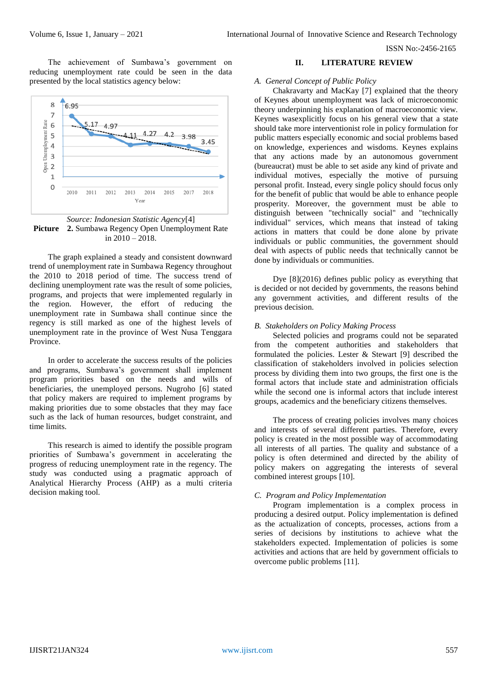The achievement of Sumbawa's government on reducing unemployment rate could be seen in the data presented by the local statistics agency below:



Picture 2. Sumbawa Regency Open Unemployment Rate in  $2010 - 2018$ .

The graph explained a steady and consistent downward trend of unemployment rate in Sumbawa Regency throughout the 2010 to 2018 period of time. The success trend of declining unemployment rate was the result of some policies, programs, and projects that were implemented regularly in the region. However, the effort of reducing the unemployment rate in Sumbawa shall continue since the regency is still marked as one of the highest levels of unemployment rate in the province of West Nusa Tenggara Province.

In order to accelerate the success results of the policies and programs, Sumbawa's government shall implement program priorities based on the needs and wills of beneficiaries, the unemployed persons. Nugroho [6] stated that policy makers are required to implement programs by making priorities due to some obstacles that they may face such as the lack of human resources, budget constraint, and time limits.

This research is aimed to identify the possible program priorities of Sumbawa's government in accelerating the progress of reducing unemployment rate in the regency. The study was conducted using a pragmatic approach of Analytical Hierarchy Process (AHP) as a multi criteria decision making tool.

#### **II. LITERATURE REVIEW**

# *A. General Concept of Public Policy*

Chakravarty and MacKay [7] explained that the theory of Keynes about unemployment was lack of microeconomic theory underpinning his explanation of macroeconomic view. Keynes wasexplicitly focus on his general view that a state should take more interventionist role in policy formulation for public matters especially economic and social problems based on knowledge, experiences and wisdoms. Keynes explains that any actions made by an autonomous government (bureaucrat) must be able to set aside any kind of private and individual motives, especially the motive of pursuing personal profit. Instead, every single policy should focus only for the benefit of public that would be able to enhance people prosperity. Moreover, the government must be able to distinguish between "technically social" and "technically individual" services, which means that instead of taking actions in matters that could be done alone by private individuals or public communities, the government should deal with aspects of public needs that technically cannot be done by individuals or communities.

Dye [8](2016) defines public policy as everything that is decided or not decided by governments, the reasons behind any government activities, and different results of the previous decision.

#### *B. Stakeholders on Policy Making Process*

Selected policies and programs could not be separated from the competent authorities and stakeholders that formulated the policies. Lester & Stewart [9] described the classification of stakeholders involved in policies selection process by dividing them into two groups, the first one is the formal actors that include state and administration officials while the second one is informal actors that include interest groups, academics and the beneficiary citizens themselves.

The process of creating policies involves many choices and interests of several different parties. Therefore, every policy is created in the most possible way of accommodating all interests of all parties. The quality and substance of a policy is often determined and directed by the ability of policy makers on aggregating the interests of several combined interest groups [10].

#### *C. Program and Policy Implementation*

Program implementation is a complex process in producing a desired output. Policy implementation is defined as the actualization of concepts, processes, actions from a series of decisions by institutions to achieve what the stakeholders expected. Implementation of policies is some activities and actions that are held by government officials to overcome public problems [11].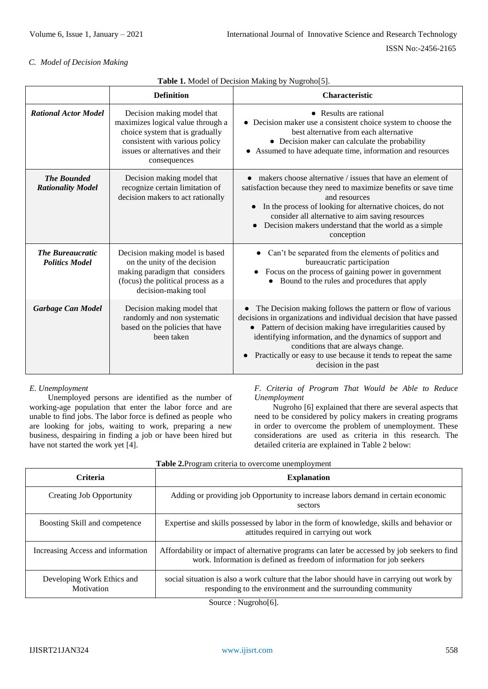# *C. Model of Decision Making*

Table 1. Model of Decision Making by Nugroho<sup>[5]</sup>.

|                                                  | <b>Definition</b>                                                                                                                                                                        | <b>Characteristic</b>                                                                                                                                                                                                                                                                                                                                                                       |  |  |  |
|--------------------------------------------------|------------------------------------------------------------------------------------------------------------------------------------------------------------------------------------------|---------------------------------------------------------------------------------------------------------------------------------------------------------------------------------------------------------------------------------------------------------------------------------------------------------------------------------------------------------------------------------------------|--|--|--|
| <b>Rational Actor Model</b>                      | Decision making model that<br>maximizes logical value through a<br>choice system that is gradually<br>consistent with various policy<br>issues or alternatives and their<br>consequences | • Results are rational<br>• Decision maker use a consistent choice system to choose the<br>best alternative from each alternative<br>• Decision maker can calculate the probability<br>• Assumed to have adequate time, information and resources                                                                                                                                           |  |  |  |
| <b>The Bounded</b><br><b>Rationality Model</b>   | Decision making model that<br>recognize certain limitation of<br>decision makers to act rationally                                                                                       | makers choose alternative / issues that have an element of<br>satisfaction because they need to maximize benefits or save time<br>and resources<br>In the process of looking for alternative choices, do not<br>consider all alternative to aim saving resources<br>Decision makers understand that the world as a simple<br>conception                                                     |  |  |  |
| <b>The Bureaucratic</b><br><b>Politics Model</b> | Decision making model is based<br>on the unity of the decision<br>making paradigm that considers<br>(focus) the political process as a<br>decision-making tool                           | Can't be separated from the elements of politics and<br>bureaucratic participation<br>Focus on the process of gaining power in government<br>$\bullet$<br>Bound to the rules and procedures that apply                                                                                                                                                                                      |  |  |  |
| <b>Garbage Can Model</b>                         | Decision making model that<br>randomly and non systematic<br>based on the policies that have<br>been taken                                                                               | The Decision making follows the pattern or flow of various<br>decisions in organizations and individual decision that have passed<br>• Pattern of decision making have irregularities caused by<br>identifying information, and the dynamics of support and<br>conditions that are always change.<br>Practically or easy to use because it tends to repeat the same<br>decision in the past |  |  |  |

# *E. Unemployment*

Unemployed persons are identified as the number of working-age population that enter the labor force and are unable to find jobs. The labor force is defined as people who are looking for jobs, waiting to work, preparing a new business, despairing in finding a job or have been hired but have not started the work yet [4].

*F. Criteria of Program That Would be Able to Reduce Unemployment*

Nugroho [6] explained that there are several aspects that need to be considered by policy makers in creating programs in order to overcome the problem of unemployment. These considerations are used as criteria in this research. The detailed criteria are explained in Table 2 below:

| <b>Criteria</b>                          | <b>Explanation</b>                                                                                                                                                     |
|------------------------------------------|------------------------------------------------------------------------------------------------------------------------------------------------------------------------|
| Creating Job Opportunity                 | Adding or providing job Opportunity to increase labors demand in certain economic<br>sectors                                                                           |
| Boosting Skill and competence            | Expertise and skills possessed by labor in the form of knowledge, skills and behavior or<br>attitudes required in carrying out work                                    |
| Increasing Access and information        | Affordability or impact of alternative programs can later be accessed by job seekers to find<br>work. Information is defined as freedom of information for job seekers |
| Developing Work Ethics and<br>Motivation | social situation is also a work culture that the labor should have in carrying out work by<br>responding to the environment and the surrounding community              |

**Table 2.**Program criteria to overcome unemployment

Source : Nugroho[6].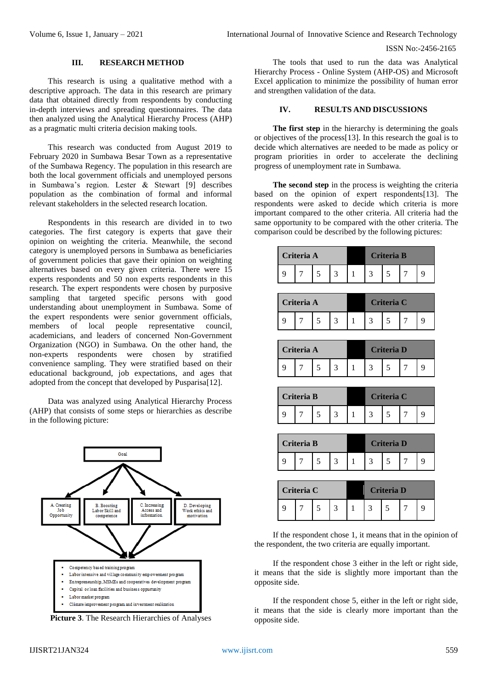#### **III. RESEARCH METHOD**

This research is using a qualitative method with a descriptive approach. The data in this research are primary data that obtained directly from respondents by conducting in-depth interviews and spreading questionnaires. The data then analyzed using the Analytical Hierarchy Process (AHP) as a pragmatic multi criteria decision making tools.

This research was conducted from August 2019 to February 2020 in Sumbawa Besar Town as a representative of the Sumbawa Regency. The population in this research are both the local government officials and unemployed persons in Sumbawa's region. Lester & Stewart [9] describes population as the combination of formal and informal relevant stakeholders in the selected research location.

Respondents in this research are divided in to two categories. The first category is experts that gave their opinion on weighting the criteria. Meanwhile, the second category is unemployed persons in Sumbawa as beneficiaries of government policies that gave their opinion on weighting alternatives based on every given criteria. There were 15 experts respondents and 50 non experts respondents in this research. The expert respondents were chosen by purposive sampling that targeted specific persons with good understanding about unemployment in Sumbawa. Some of the expert respondents were senior government officials, members of local people representative council, academicians, and leaders of concerned Non-Government Organization (NGO) in Sumbawa. On the other hand, the non-experts respondents were chosen by stratified convenience sampling. They were stratified based on their educational background, job expectations, and ages that adopted from the concept that developed by Pusparisa[12].

Data was analyzed using Analytical Hierarchy Process (AHP) that consists of some steps or hierarchies as describe in the following picture:



**Picture 3**. The Research Hierarchies of Analyses

The tools that used to run the data was Analytical Hierarchy Process - Online System (AHP-OS) and Microsoft Excel application to minimize the possibility of human error and strengthen validation of the data.

#### **IV. RESULTS AND DISCUSSIONS**

**The first step** in the hierarchy is determining the goals or objectives of the process[13]. In this research the goal is to decide which alternatives are needed to be made as policy or program priorities in order to accelerate the declining progress of unemployment rate in Sumbawa.

**The second step** in the process is weighting the criteria based on the opinion of expert respondents[13]. The respondents were asked to decide which criteria is more important compared to the other criteria. All criteria had the same opportunity to be compared with the other criteria. The comparison could be described by the following pictures:

|                                 | Criteria A<br><b>Criteria B</b> |   |   |   |   |                   |                |   |
|---------------------------------|---------------------------------|---|---|---|---|-------------------|----------------|---|
| 9                               | 7                               | 5 | 3 | 1 | 3 | 5                 | 7              | 9 |
| Criteria A<br><b>Criteria C</b> |                                 |   |   |   |   |                   |                |   |
| 9                               | 7                               | 5 | 3 | 1 | 3 | 5                 | 7              | 9 |
| Criteria A<br><b>Criteria D</b> |                                 |   |   |   |   |                   |                |   |
| 9                               | 7                               | 5 | 3 | 1 | 3 | 5                 | 7              | 9 |
|                                 |                                 |   |   |   |   |                   |                |   |
|                                 | Criteria B                      |   |   |   |   | Criteria C        |                |   |
| 9                               | 7                               | 5 | 3 | 1 | 3 | 5                 | 7              | 9 |
|                                 | Criteria B                      |   |   |   |   | <b>Criteria D</b> |                |   |
| 9                               | 7                               | 5 | 3 | 1 | 3 | 5                 | $\overline{7}$ | 9 |
|                                 | Criteria C                      |   |   |   |   | <b>Criteria D</b> |                |   |

If the respondent chose 1, it means that in the opinion of the respondent, the two criteria are equally important.

If the respondent chose 3 either in the left or right side, it means that the side is slightly more important than the opposite side.

If the respondent chose 5, either in the left or right side, it means that the side is clearly more important than the opposite side.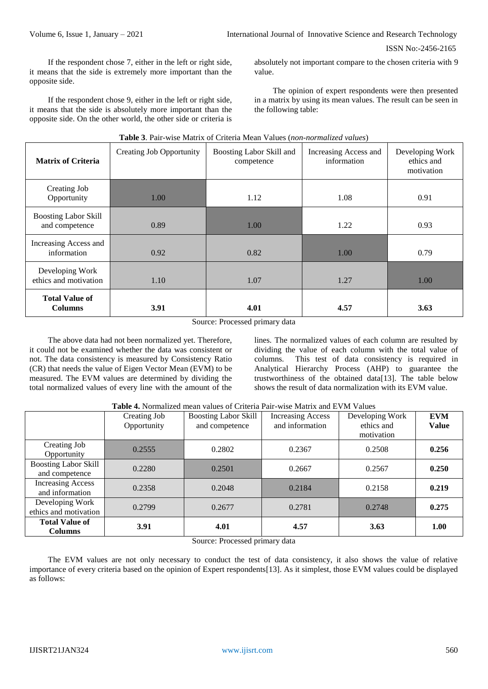If the respondent chose 7, either in the left or right side, it means that the side is extremely more important than the opposite side.

If the respondent chose 9, either in the left or right side, it means that the side is absolutely more important than the opposite side. On the other world, the other side or criteria is

absolutely not important compare to the chosen criteria with 9 value.

The opinion of expert respondents were then presented in a matrix by using its mean values. The result can be seen in the following table:

| <b>Matrix of Criteria</b>                     | <b>Creating Job Opportunity</b> | Boosting Labor Skill and<br>competence | Increasing Access and<br>information | Developing Work<br>ethics and<br>motivation |
|-----------------------------------------------|---------------------------------|----------------------------------------|--------------------------------------|---------------------------------------------|
| Creating Job<br>Opportunity                   | 1.00                            | 1.12                                   | 1.08                                 | 0.91                                        |
| <b>Boosting Labor Skill</b><br>and competence | 0.89                            | 1.00                                   | 1.22                                 | 0.93                                        |
| Increasing Access and<br>information          | 0.92                            | 0.82                                   | 1.00                                 | 0.79                                        |
| Developing Work<br>ethics and motivation      | 1.10                            | 1.07                                   | 1.27                                 | 1.00                                        |
| <b>Total Value of</b><br><b>Columns</b>       | 3.91                            | 4.01                                   | 4.57                                 | 3.63                                        |

# **Table 3**. Pair-wise Matrix of Criteria Mean Values (*non-normalized values*)

Source: Processed primary data

The above data had not been normalized yet. Therefore, it could not be examined whether the data was consistent or not. The data consistency is measured by Consistency Ratio (CR) that needs the value of Eigen Vector Mean (EVM) to be measured. The EVM values are determined by dividing the total normalized values of every line with the amount of the

lines. The normalized values of each column are resulted by dividing the value of each column with the total value of columns. This test of data consistency is required in Analytical Hierarchy Process (AHP) to guarantee the trustworthiness of the obtained data[13]. The table below shows the result of data normalization with its EVM value.

|  |  |  |  |  |  | <b>Table 4.</b> Normalized mean values of Criteria Pair-wise Matrix and EVM Values |
|--|--|--|--|--|--|------------------------------------------------------------------------------------|
|--|--|--|--|--|--|------------------------------------------------------------------------------------|

|                                               | Creating Job<br>Opportunity | <b>Boosting Labor Skill</b><br>and competence | <b>Increasing Access</b><br>and information | Developing Work<br>ethics and<br>motivation | <b>EVM</b><br><b>Value</b> |
|-----------------------------------------------|-----------------------------|-----------------------------------------------|---------------------------------------------|---------------------------------------------|----------------------------|
| Creating Job<br>Opportunity                   | 0.2555                      | 0.2802                                        | 0.2367                                      | 0.2508                                      | 0.256                      |
| <b>Boosting Labor Skill</b><br>and competence | 0.2280                      | 0.2501                                        | 0.2667                                      | 0.2567                                      | 0.250                      |
| <b>Increasing Access</b><br>and information   | 0.2358                      | 0.2048                                        | 0.2184                                      | 0.2158                                      | 0.219                      |
| Developing Work<br>ethics and motivation      | 0.2799                      | 0.2677                                        | 0.2781                                      | 0.2748                                      | 0.275                      |
| <b>Total Value of</b><br><b>Columns</b>       | 3.91                        | 4.01                                          | 4.57                                        | 3.63                                        | 1.00                       |

Source: Processed primary data

The EVM values are not only necessary to conduct the test of data consistency, it also shows the value of relative importance of every criteria based on the opinion of Expert respondents[13]. As it simplest, those EVM values could be displayed as follows: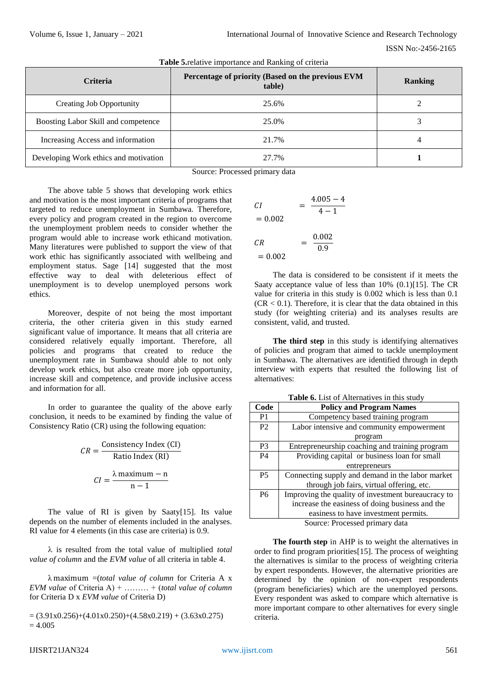| <b>Criteria</b>                       | Percentage of priority (Based on the previous EVM<br>table) | <b>Ranking</b> |
|---------------------------------------|-------------------------------------------------------------|----------------|
| Creating Job Opportunity              | 25.6%                                                       |                |
| Boosting Labor Skill and competence   | 25.0%                                                       |                |
| Increasing Access and information     | 21.7%                                                       | 4              |
| Developing Work ethics and motivation | 27.7%                                                       |                |

**Table 5.**relative importance and Ranking of criteria

Source: Processed primary data

The above table 5 shows that developing work ethics and motivation is the most important criteria of programs that targeted to reduce unemployment in Sumbawa. Therefore, every policy and program created in the region to overcome the unemployment problem needs to consider whether the program would able to increase work ethicand motivation. Many literatures were published to support the view of that work ethic has significantly associated with wellbeing and employment status. Sage [14] suggested that the most effective way to deal with deleterious effect of unemployment is to develop unemployed persons work ethics.

Moreover, despite of not being the most important criteria, the other criteria given in this study earned significant value of importance. It means that all criteria are considered relatively equally important. Therefore, all policies and programs that created to reduce the unemployment rate in Sumbawa should able to not only develop work ethics, but also create more job opportunity, increase skill and competence, and provide inclusive access and information for all.

In order to guarantee the quality of the above early conclusion, it needs to be examined by finding the value of Consistency Ratio (CR) using the following equation:

$$
CR = \frac{\text{Consistency Index (CI)}}{\text{Ratio Index (RI)}}
$$

$$
CI = \frac{\lambda \text{ maximum} - n}{n - 1}
$$

The value of RI is given by Saaty[15]. Its value depends on the number of elements included in the analyses. RI value for 4 elements (in this case are criteria) is 0.9.

 $\lambda$  is resulted from the total value of multiplied *total value of column* and the *EVM value* of all criteria in table 4.

λ maximum =(*total value of column* for Criteria A x *EVM value* of Criteria A) + ……… + (*total value of column* for Criteria D x *EVM value* of Criteria D)

 $= (3.91x0.256)+(4.01x0.250)+(4.58x0.219)+(3.63x0.275)$  $= 4.005$ 

$$
CI = \frac{4.005 - 4}{4 - 1} \n= 0.002 \nCR = \frac{0.002}{0.9} \n= 0.002
$$

The data is considered to be consistent if it meets the Saaty acceptance value of less than 10% (0.1)[15]. The CR value for criteria in this study is 0.002 which is less than 0.1  $(CR < 0.1)$ . Therefore, it is clear that the data obtained in this study (for weighting criteria) and its analyses results are consistent, valid, and trusted.

**The third step** in this study is identifying alternatives of policies and program that aimed to tackle unemployment in Sumbawa. The alternatives are identified through in depth interview with experts that resulted the following list of alternatives:

| Code           | <b>Policy and Program Names</b>                |
|----------------|------------------------------------------------|
| P1             | Competency based training program              |
| P <sub>2</sub> | Labor intensive and community empowerment      |
|                | program                                        |
| P3             | Entrepreneurship coaching and training program |

| Table 6. List of Alternatives in this study |  |  |  |  |  |  |  |  |  |
|---------------------------------------------|--|--|--|--|--|--|--|--|--|
|---------------------------------------------|--|--|--|--|--|--|--|--|--|

| Coue           | POIICY and Program Names                           |  |  |  |  |
|----------------|----------------------------------------------------|--|--|--|--|
| P <sub>1</sub> | Competency based training program                  |  |  |  |  |
| P <sub>2</sub> | Labor intensive and community empowerment          |  |  |  |  |
|                | program                                            |  |  |  |  |
| P <sub>3</sub> | Entrepreneurship coaching and training program     |  |  |  |  |
| <b>P4</b>      | Providing capital or business loan for small       |  |  |  |  |
|                | entrepreneurs                                      |  |  |  |  |
| <b>P5</b>      | Connecting supply and demand in the labor market   |  |  |  |  |
|                | through job fairs, virtual offering, etc.          |  |  |  |  |
| P <sub>6</sub> | Improving the quality of investment bureaucracy to |  |  |  |  |
|                | increase the easiness of doing business and the    |  |  |  |  |
|                | easiness to have investment permits.               |  |  |  |  |
|                | Source: Processed primary data                     |  |  |  |  |

**The fourth step** in AHP is to weight the alternatives in order to find program priorities[15]. The process of weighting the alternatives is similar to the process of weighting criteria by expert respondents. However, the alternative priorities are determined by the opinion of non-expert respondents (program beneficiaries) which are the unemployed persons. Every respondent was asked to compare which alternative is more important compare to other alternatives for every single criteria.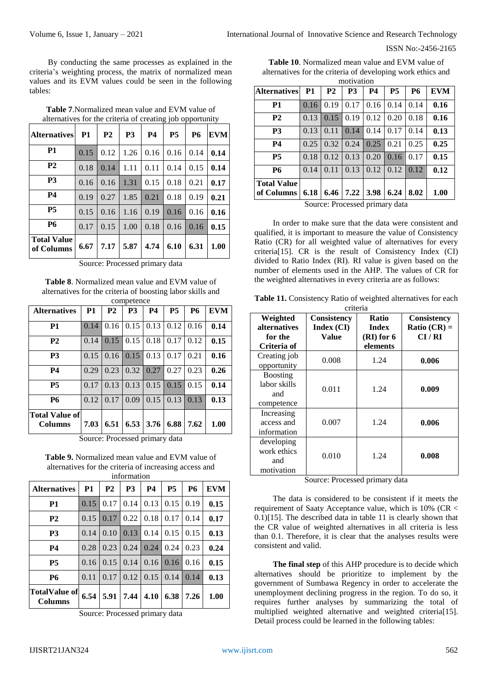**Total Value** 

#### ISSN No:-2456-2165

By conducting the same processes as explained in the criteria's weighting process, the matrix of normalized mean values and its EVM values could be seen in the following tables:

| alternatives for the criteria of creating job opportunity |                                                                                |  |  |  |
|-----------------------------------------------------------|--------------------------------------------------------------------------------|--|--|--|
| Alternatives   P1   P2   P3   P4   P5   P6  EVM           |                                                                                |  |  |  |
| P <sub>1</sub>                                            | $\vert 0.15 \vert 0.12 \vert 1.26 \vert 0.16 \vert 0.16 \vert 0.14 \vert 0.14$ |  |  |  |

**P2** 0.18 0.14 1.11 0.11 0.14 0.15 **0.14 P3** 0.16 0.16 1.31 0.15 0.18 0.21 **0.17 P4** 0.19 0.27 1.85 0.21 0.18 0.19 **0.21 P5** 0.15 0.16 1.16 0.19 0.16 0.16 **0.16 P6** 0.17 0.15 1.00 0.18 0.16 0.16 **0.15**

**Table 7**.Normalized mean value and EVM value of

| of Columns $6.67$   7.17   5.87   4.74   6.10   6.31   1.00 |                                |  |  |  |
|-------------------------------------------------------------|--------------------------------|--|--|--|
|                                                             | Source: Processed primary data |  |  |  |

**Table 8**. Normalized mean value and EVM value of alternatives for the criteria of boosting labor skills and

| competence                       |           |                |                |           |           |           |      |
|----------------------------------|-----------|----------------|----------------|-----------|-----------|-----------|------|
| <b>Alternatives</b>              | <b>P1</b> | P <sub>2</sub> | P <sub>3</sub> | <b>P4</b> | <b>P5</b> | <b>P6</b> | EVM  |
| P1                               | 0.14      | 0.16           | 0.15           | 0.13      | 0.12      | 0.16      | 0.14 |
| <b>P2</b>                        | 0.14      | 0.15           | 0.15           | 0.18      | 0.17      | 0.12      | 0.15 |
| <b>P3</b>                        | 0.15      | 0.16           | 0.15           | 0.13      | 0.17      | 0.21      | 0.16 |
| <b>P4</b>                        | 0.29      | 0.23           | 0.32           | 0.27      | 0.27      | 0.23      | 0.26 |
| <b>P5</b>                        | 0.17      | 0.13           | 0.13           | 0.15      | 0.15      | 0.15      | 0.14 |
| <b>P6</b>                        | 0.12      | 0.17           | 0.09           | 0.15      | 0.13      | 0.13      | 0.13 |
| <b>Total Value of</b><br>Columns | 7.03      | 6.51           | 6.53           | 3.76      | 6.88      | 7.62      | 1.00 |

Source: Processed primary data

**Table 9.** Normalized mean value and EVM value of alternatives for the criteria of increasing access and information

| <b>Alternatives</b>              | P <sub>1</sub> | <b>P2</b> | P3   | P4   | <b>P5</b> | <b>P6</b> | <b>EVM</b> |
|----------------------------------|----------------|-----------|------|------|-----------|-----------|------------|
| <b>P1</b>                        | 0.15           | 0.17      | 0.14 | 0.13 | 0.15      | 0.19      | 0.15       |
| <b>P2</b>                        | 0.15           | 0.17      | 0.22 | 0.18 | 0.17      | 0.14      | 0.17       |
| P <sub>3</sub>                   | 0.14           | 0.10      | 0.13 | 0.14 | 0.15      | 0.15      | 0.13       |
| <b>P4</b>                        | 0.28           | 0.23      | 0.24 | 0.24 | 0.24      | 0.23      | 0.24       |
| P <sub>5</sub>                   | 0.16           | 0.15      | 0.14 | 0.16 | 0.16      | 0.16      | 0.15       |
| <b>P6</b>                        | 0.11           | 0.17      | 0.12 | 0.15 | 0.14      | 0.14      | 0.13       |
| TotalValue of <br><b>Columns</b> | 6.54           | 5.91      | 7.44 | 4.10 | 6.38      | 7.26      | 1.00       |

Source: Processed primary data

**Table 10**. Normalized mean value and EVM value of alternatives for the criteria of developing work ethics and motivation

| <b>Alternatives</b>              | <b>P1</b> | <b>P2</b> | <b>P3</b> | <b>P4</b> | <b>P5</b> | <b>P6</b> | <b>EVM</b> |
|----------------------------------|-----------|-----------|-----------|-----------|-----------|-----------|------------|
| <b>P1</b>                        | 0.16      | 0.19      | 0.17      | 0.16      | 0.14      | 0.14      | 0.16       |
| P <sub>2</sub>                   | 0.13      | 0.15      | 0.19      | 0.12      | 0.20      | 0.18      | 0.16       |
| P <sub>3</sub>                   | 0.13      | 0.11      | 0.14      | 0.14      | 0.17      | 0.14      | 0.13       |
| <b>P4</b>                        | 0.25      | 0.32      | 0.24      | 0.25      | 0.21      | 0.25      | 0.25       |
| <b>P5</b>                        | 0.18      | 0.12      | 0.13      | 0.20      | 0.16      | 0.17      | 0.15       |
| <b>P6</b>                        | 0.14      | 0.11      | 0.13      | 0.12      | 0.12      | 0.12      | 0.12       |
| <b>Total Value</b><br>of Columns | 6.18      | 6.46      | 7.22      | 3.98      | 6.24      | 8.02      | 1.00       |

Source: Processed primary data

In order to make sure that the data were consistent and qualified, it is important to measure the value of Consistency Ratio (CR) for all weighted value of alternatives for every criteria[15]. CR is the result of Consistency Index (CI) divided to Ratio Index (RI). RI value is given based on the number of elements used in the AHP. The values of CR for the weighted alternatives in every criteria are as follows:

**Table 11.** Consistency Ratio of weighted alternatives for each

| criteria                                             |                                           |                                                   |                                               |  |
|------------------------------------------------------|-------------------------------------------|---------------------------------------------------|-----------------------------------------------|--|
| Weighted<br>alternatives<br>for the<br>Criteria of   | <b>Consistency</b><br>Index (CI)<br>Value | <b>Ratio</b><br>Index<br>$(RI)$ for 6<br>elements | <b>Consistency</b><br>Ratio $(CR)$ =<br>CI/RI |  |
| Creating job<br>opportunity                          | 0.008                                     | 1.24                                              | 0.006                                         |  |
| <b>Boosting</b><br>labor skills<br>and<br>competence | 0.011                                     | 1.24                                              | 0.009                                         |  |
| Increasing<br>access and<br>information              | 0.007                                     | 1.24                                              | 0.006                                         |  |
| developing<br>work ethics<br>and<br>motivation       | 0.010                                     | 1.24                                              | 0.008                                         |  |

Source: Processed primary data

The data is considered to be consistent if it meets the requirement of Saaty Acceptance value, which is 10% (CR < 0.1)[15]. The described data in table 11 is clearly shown that the CR value of weighted alternatives in all criteria is less than 0.1. Therefore, it is clear that the analyses results were consistent and valid.

**The final step** of this AHP procedure is to decide which alternatives should be prioritize to implement by the government of Sumbawa Regency in order to accelerate the unemployment declining progress in the region. To do so, it requires further analyses by summarizing the total of multiplied weighted alternative and weighted criteria[15]. Detail process could be learned in the following tables: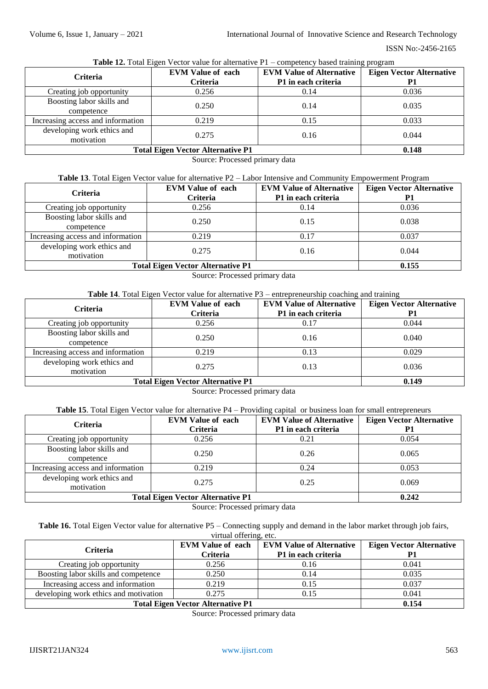| <b>Criteria</b>                          | <b>EVM Value of each</b><br>Criteria | <b>EVM Value of Alternative</b><br>P1 in each criteria | <b>Eigen Vector Alternative</b> |
|------------------------------------------|--------------------------------------|--------------------------------------------------------|---------------------------------|
| Creating job opportunity                 | 0.256                                | 0.14                                                   | 0.036                           |
| Boosting labor skills and<br>competence  | 0.250                                | 0.14                                                   | 0.035                           |
| Increasing access and information        | 0.219                                | 0.15                                                   | 0.033                           |
| developing work ethics and<br>motivation | 0.275                                | 0.16                                                   | 0.044                           |
| <b>Total Eigen Vector Alternative P1</b> | 0.148                                |                                                        |                                 |

**Table 12.** Total Eigen Vector value for alternative P1 – competency based training program

Source: Processed primary data

#### **Table 13**. Total Eigen Vector value for alternative P2 – Labor Intensive and Community Empowerment Program

| <b>Criteria</b>                          | <b>EVM Value of each</b><br>Criteria | <b>EVM Value of Alternative</b><br>P1 in each criteria | <b>Eigen Vector Alternative</b><br>P1 |
|------------------------------------------|--------------------------------------|--------------------------------------------------------|---------------------------------------|
| Creating job opportunity                 | 0.256                                | 0.14                                                   | 0.036                                 |
| Boosting labor skills and<br>competence  | 0.250                                | 0.15                                                   | 0.038                                 |
| Increasing access and information        | 0.219                                | 0.17                                                   | 0.037                                 |
| developing work ethics and<br>motivation | 0.275                                | 0.16                                                   | 0.044                                 |
| <b>Total Eigen Vector Alternative P1</b> | 0.155                                |                                                        |                                       |

Source: Processed primary data

# **Table 14**. Total Eigen Vector value for alternative P3 – entrepreneurship coaching and training

| <b>Criteria</b>                          | <b>EVM Value of each</b><br><b>Criteria</b> | <b>EVM Value of Alternative</b><br>P1 in each criteria | <b>Eigen Vector Alternative</b><br>P1 |
|------------------------------------------|---------------------------------------------|--------------------------------------------------------|---------------------------------------|
| Creating job opportunity                 | 0.256                                       | 0.17                                                   | 0.044                                 |
| Boosting labor skills and<br>competence  | 0.250                                       | 0.16                                                   | 0.040                                 |
| Increasing access and information        | 0.219                                       | 0.13                                                   | 0.029                                 |
| developing work ethics and<br>motivation | 0.275                                       | 0.13                                                   | 0.036                                 |
| <b>Total Eigen Vector Alternative P1</b> | 0.149                                       |                                                        |                                       |

Source: Processed primary data

# **Table 15**. Total Eigen Vector value for alternative P4 – Providing capital or business loan for small entrepreneurs

| <b>Criteria</b>                          | <b>EVM Value of each</b><br><b>Criteria</b> | <b>EVM Value of Alternative</b><br>P1 in each criteria | <b>Eigen Vector Alternative</b><br>P1 |
|------------------------------------------|---------------------------------------------|--------------------------------------------------------|---------------------------------------|
| Creating job opportunity                 | 0.256                                       | 0.21                                                   | 0.054                                 |
| Boosting labor skills and<br>competence  | 0.250                                       | 0.26                                                   | 0.065                                 |
| Increasing access and information        | 0.219                                       | 0.24                                                   | 0.053                                 |
| developing work ethics and<br>motivation | 0.275                                       | 0.25                                                   | 0.069                                 |
| <b>Total Eigen Vector Alternative P1</b> | 0.242                                       |                                                        |                                       |

Source: Processed primary data

Table 16. Total Eigen Vector value for alternative P5 – Connecting supply and demand in the labor market through job fairs,

virtual offering, etc.

| <b>Criteria</b>                          | <b>EVM Value of each</b><br><b>Criteria</b> | <b>EVM Value of Alternative</b><br>P1 in each criteria | <b>Eigen Vector Alternative</b> |
|------------------------------------------|---------------------------------------------|--------------------------------------------------------|---------------------------------|
| Creating job opportunity                 | 0.256                                       | 0.16                                                   | 0.041                           |
| Boosting labor skills and competence     | 0.250                                       | 0.14                                                   | 0.035                           |
| Increasing access and information        | 0.219                                       | 0.15                                                   | 0.037                           |
| developing work ethics and motivation    | 0.275                                       | 0.15                                                   | 0.041                           |
| <b>Total Eigen Vector Alternative P1</b> | 0.154                                       |                                                        |                                 |

Source: Processed primary data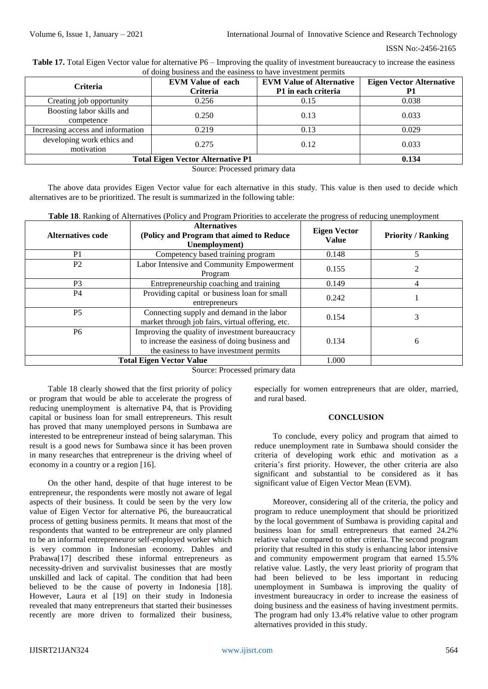**Table 17.** Total Eigen Vector value for alternative P6 – Improving the quality of investment bureaucracy to increase the easiness of doing business and the easiness to have investment permits

| <b>Criteria</b>                          | <b>EVM Value of each</b><br>Criteria | <b>EVM Value of Alternative</b><br>P1 in each criteria | <b>Eigen Vector Alternative</b><br>P1 |
|------------------------------------------|--------------------------------------|--------------------------------------------------------|---------------------------------------|
| Creating job opportunity                 | 0.256                                | 0.15                                                   | 0.038                                 |
| Boosting labor skills and<br>competence  | 0.250                                | 0.13                                                   | 0.033                                 |
| Increasing access and information        | 0.219                                | 0.13                                                   | 0.029                                 |
| developing work ethics and<br>motivation | 0.275                                | 0.12                                                   | 0.033                                 |
| <b>Total Eigen Vector Alternative P1</b> | 0.134                                |                                                        |                                       |

Source: Processed primary data

The above data provides Eigen Vector value for each alternative in this study. This value is then used to decide which alternatives are to be prioritized. The result is summarized in the following table:

|  |  |  | Table 18. Ranking of Alternatives (Policy and Program Priorities to accelerate the progress of reducing unemployment |
|--|--|--|----------------------------------------------------------------------------------------------------------------------|
|--|--|--|----------------------------------------------------------------------------------------------------------------------|

| Alternatives code | <b>Alternatives</b><br>(Policy and Program that aimed to Reduce<br>Unemployment)                                                             | <b>Eigen Vector</b><br><b>Value</b> | <b>Priority / Ranking</b> |
|-------------------|----------------------------------------------------------------------------------------------------------------------------------------------|-------------------------------------|---------------------------|
| P <sub>1</sub>    | Competency based training program                                                                                                            | 0.148                               |                           |
| P <sub>2</sub>    | Labor Intensive and Community Empowerment<br>Program                                                                                         | 0.155                               |                           |
| P <sub>3</sub>    | Entrepreneurship coaching and training                                                                                                       | 0.149                               | 4                         |
| P4                | Providing capital or business loan for small<br>entrepreneurs                                                                                | 0.242                               |                           |
| <b>P5</b>         | Connecting supply and demand in the labor<br>market through job fairs, virtual offering, etc.                                                | 0.154                               |                           |
| P <sub>6</sub>    | Improving the quality of investment bureaucracy<br>to increase the easiness of doing business and<br>the easiness to have investment permits | 0.134                               | 6                         |
|                   | <b>Total Eigen Vector Value</b>                                                                                                              | 1.000                               |                           |

Source: Processed primary data

Table 18 clearly showed that the first priority of policy or program that would be able to accelerate the progress of reducing unemployment is alternative P4, that is Providing capital or business loan for small entrepreneurs. This result has proved that many unemployed persons in Sumbawa are interested to be entrepreneur instead of being salaryman. This result is a good news for Sumbawa since it has been proven in many researches that entrepreneur is the driving wheel of economy in a country or a region [16].

On the other hand, despite of that huge interest to be entrepreneur, the respondents were mostly not aware of legal aspects of their business. It could be seen by the very low value of Eigen Vector for alternative P6, the bureaucratical process of getting business permits. It means that most of the respondents that wanted to be entrepreneur are only planned to be an informal entrepreneuror self-employed worker which is very common in Indonesian economy. Dahles and Prabawa[17] described these informal entrepreneurs as necessity-driven and survivalist businesses that are mostly unskilled and lack of capital. The condition that had been believed to be the cause of poverty in Indonesia [18]. However, Laura et al [19] on their study in Indonesia revealed that many entrepreneurs that started their businesses recently are more driven to formalized their business, especially for women entrepreneurs that are older, married, and rural based.

## **CONCLUSION**

To conclude, every policy and program that aimed to reduce unemployment rate in Sumbawa should consider the criteria of developing work ethic and motivation as a criteria's first priority. However, the other criteria are also significant and substantial to be considered as it has significant value of Eigen Vector Mean (EVM).

Moreover, considering all of the criteria, the policy and program to reduce unemployment that should be prioritized by the local government of Sumbawa is providing capital and business loan for small entrepreneurs that earned 24.2% relative value compared to other criteria. The second program priority that resulted in this study is enhancing labor intensive and community empowerment program that earned 15.5% relative value. Lastly, the very least priority of program that had been believed to be less important in reducing unemployment in Sumbawa is improving the quality of investment bureaucracy in order to increase the easiness of doing business and the easiness of having investment permits. The program had only 13.4% relative value to other program alternatives provided in this study.